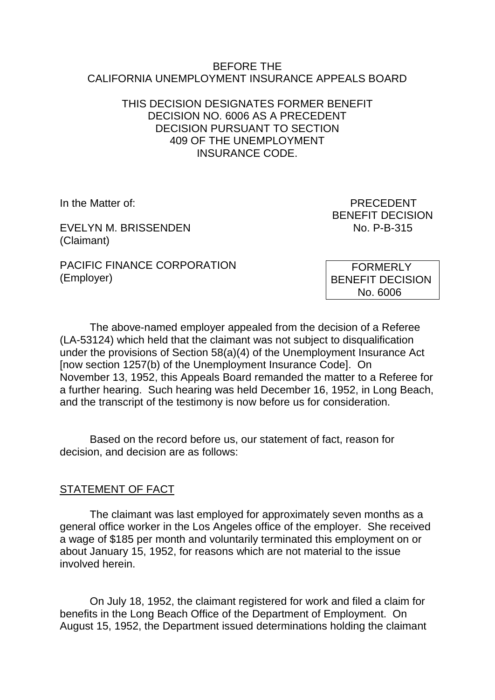#### BEFORE THE CALIFORNIA UNEMPLOYMENT INSURANCE APPEALS BOARD

### THIS DECISION DESIGNATES FORMER BENEFIT DECISION NO. 6006 AS A PRECEDENT DECISION PURSUANT TO SECTION 409 OF THE UNEMPLOYMENT INSURANCE CODE.

EVELYN M. BRISSENDEN NO. P-B-315 (Claimant)

PACIFIC FINANCE CORPORATION (Employer)

In the Matter of: PRECEDENT BENEFIT DECISION

> FORMERLY BENEFIT DECISION No. 6006

The above-named employer appealed from the decision of a Referee (LA-53124) which held that the claimant was not subject to disqualification under the provisions of Section 58(a)(4) of the Unemployment Insurance Act [now section 1257(b) of the Unemployment Insurance Code]. On November 13, 1952, this Appeals Board remanded the matter to a Referee for a further hearing. Such hearing was held December 16, 1952, in Long Beach, and the transcript of the testimony is now before us for consideration.

Based on the record before us, our statement of fact, reason for decision, and decision are as follows:

#### STATEMENT OF FACT

The claimant was last employed for approximately seven months as a general office worker in the Los Angeles office of the employer. She received a wage of \$185 per month and voluntarily terminated this employment on or about January 15, 1952, for reasons which are not material to the issue involved herein.

On July 18, 1952, the claimant registered for work and filed a claim for benefits in the Long Beach Office of the Department of Employment. On August 15, 1952, the Department issued determinations holding the claimant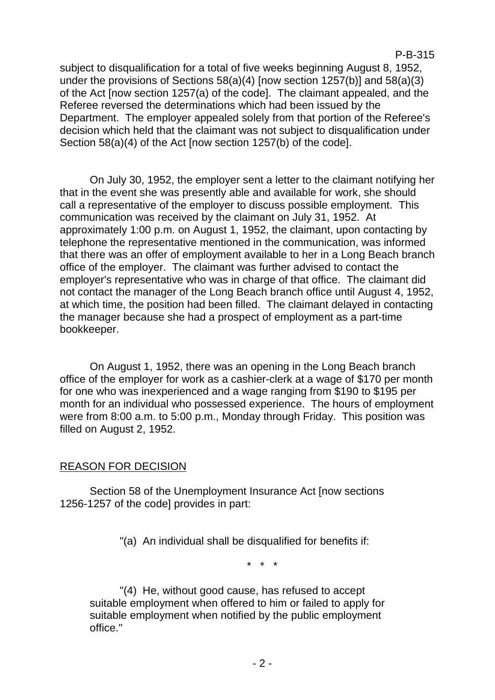P-B-315

subject to disqualification for a total of five weeks beginning August 8, 1952, under the provisions of Sections 58(a)(4) [now section 1257(b)] and 58(a)(3) of the Act [now section 1257(a) of the code]. The claimant appealed, and the Referee reversed the determinations which had been issued by the Department. The employer appealed solely from that portion of the Referee's decision which held that the claimant was not subject to disqualification under Section 58(a)(4) of the Act [now section 1257(b) of the code].

On July 30, 1952, the employer sent a letter to the claimant notifying her that in the event she was presently able and available for work, she should call a representative of the employer to discuss possible employment. This communication was received by the claimant on July 31, 1952. At approximately 1:00 p.m. on August 1, 1952, the claimant, upon contacting by telephone the representative mentioned in the communication, was informed that there was an offer of employment available to her in a Long Beach branch office of the employer. The claimant was further advised to contact the employer's representative who was in charge of that office. The claimant did not contact the manager of the Long Beach branch office until August 4, 1952, at which time, the position had been filled. The claimant delayed in contacting the manager because she had a prospect of employment as a part-time bookkeeper.

On August 1, 1952, there was an opening in the Long Beach branch office of the employer for work as a cashier-clerk at a wage of \$170 per month for one who was inexperienced and a wage ranging from \$190 to \$195 per month for an individual who possessed experience. The hours of employment were from 8:00 a.m. to 5:00 p.m., Monday through Friday. This position was filled on August 2, 1952.

## REASON FOR DECISION

Section 58 of the Unemployment Insurance Act [now sections 1256-1257 of the code] provides in part:

"(a) An individual shall be disqualified for benefits if:

\* \* \*

"(4) He, without good cause, has refused to accept suitable employment when offered to him or failed to apply for suitable employment when notified by the public employment office."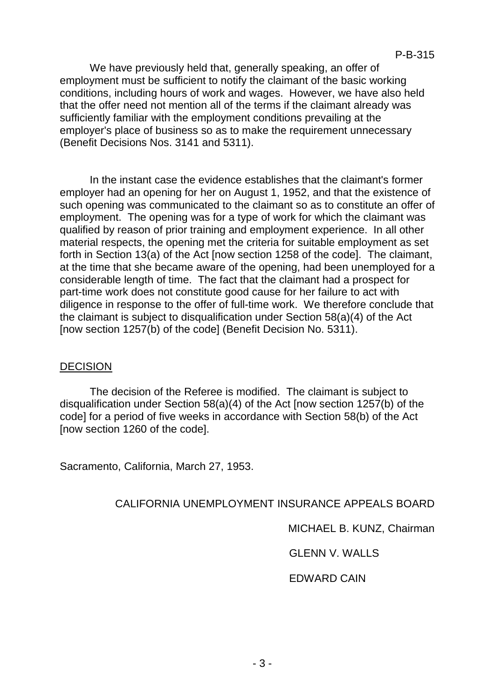We have previously held that, generally speaking, an offer of employment must be sufficient to notify the claimant of the basic working conditions, including hours of work and wages. However, we have also held that the offer need not mention all of the terms if the claimant already was sufficiently familiar with the employment conditions prevailing at the employer's place of business so as to make the requirement unnecessary (Benefit Decisions Nos. 3141 and 5311).

In the instant case the evidence establishes that the claimant's former employer had an opening for her on August 1, 1952, and that the existence of such opening was communicated to the claimant so as to constitute an offer of employment. The opening was for a type of work for which the claimant was qualified by reason of prior training and employment experience. In all other material respects, the opening met the criteria for suitable employment as set forth in Section 13(a) of the Act [now section 1258 of the code]. The claimant, at the time that she became aware of the opening, had been unemployed for a considerable length of time. The fact that the claimant had a prospect for part-time work does not constitute good cause for her failure to act with diligence in response to the offer of full-time work. We therefore conclude that the claimant is subject to disqualification under Section 58(a)(4) of the Act [now section 1257(b) of the code] (Benefit Decision No. 5311).

#### DECISION

The decision of the Referee is modified. The claimant is subject to disqualification under Section 58(a)(4) of the Act [now section 1257(b) of the code] for a period of five weeks in accordance with Section 58(b) of the Act [now section 1260 of the code].

Sacramento, California, March 27, 1953.

## CALIFORNIA UNEMPLOYMENT INSURANCE APPEALS BOARD

MICHAEL B. KUNZ, Chairman

GLENN V. WALLS

## EDWARD CAIN